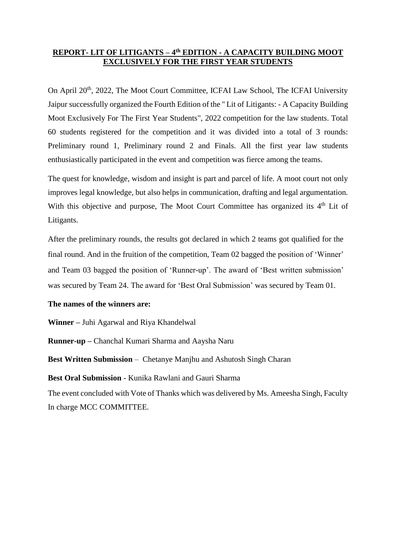## **REPORT- LIT OF LITIGANTS – 4 th EDITION - A CAPACITY BUILDING MOOT EXCLUSIVELY FOR THE FIRST YEAR STUDENTS**

On April 20<sup>th</sup>, 2022, The Moot Court Committee, ICFAI Law School, The ICFAI University Jaipur successfully organized the Fourth Edition of the " Lit of Litigants: - A Capacity Building Moot Exclusively For The First Year Students", 2022 competition for the law students. Total 60 students registered for the competition and it was divided into a total of 3 rounds: Preliminary round 1, Preliminary round 2 and Finals. All the first year law students enthusiastically participated in the event and competition was fierce among the teams.

The quest for knowledge, wisdom and insight is part and parcel of life. A moot court not only improves legal knowledge, but also helps in communication, drafting and legal argumentation. With this objective and purpose, The Moot Court Committee has organized its  $4<sup>th</sup>$  Lit of Litigants.

After the preliminary rounds, the results got declared in which 2 teams got qualified for the final round. And in the fruition of the competition, Team 02 bagged the position of 'Winner' and Team 03 bagged the position of 'Runner-up'. The award of 'Best written submission' was secured by Team 24. The award for 'Best Oral Submission' was secured by Team 01.

## **The names of the winners are:**

**Winner –** Juhi Agarwal and Riya Khandelwal

**Runner-up –** Chanchal Kumari Sharma and Aaysha Naru

**Best Written Submission** – Chetanye Manjhu and Ashutosh Singh Charan

**Best Oral Submission** - Kunika Rawlani and Gauri Sharma

The event concluded with Vote of Thanks which was delivered by Ms. Ameesha Singh, Faculty In charge MCC COMMITTEE.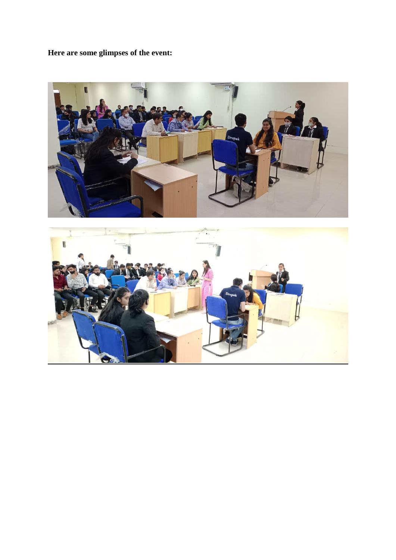**Here are some glimpses of the event:**